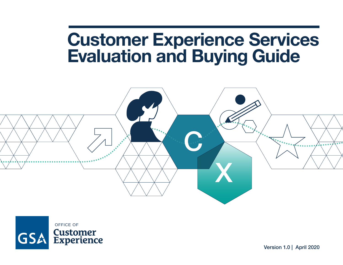# **Customer Experience Services Evaluation and Buying Guide**



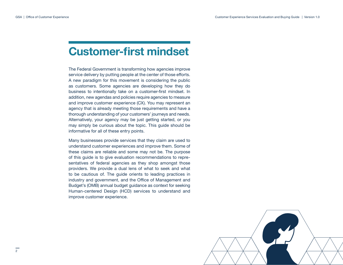## **Customer-first mindset**

The Federal Government is transforming how agencies improve service delivery by putting people at the center of those efforts. A new paradigm for this movement is considering the public as customers. Some agencies are developing how they do business to intentionally take on a customer-first mindset. In addition, new agendas and policies require agencies to measure and improve customer experience (CX). You may represent an agency that is already meeting those requirements and have a thorough understanding of your customers' journeys and needs. Alternatively, your agency may be just getting started, or you may simply be curious about the topic. This guide should be informative for all of these entry points.

Many businesses provide services that they claim are used to understand customer experiences and improve them. Some of these claims are reliable and some may not be. The purpose of this guide is to give evaluation recommendations to representatives of federal agencies as they shop amongst those providers. We provide a dual lens of what to seek and what to be cautious of. The guide orients to leading practices in industry and government, and the Office of Management and Budget's (OMB) annual budget guidance as context for seeking Human-centered Design (HCD) services to understand and improve customer experience.



 $\overline{2}$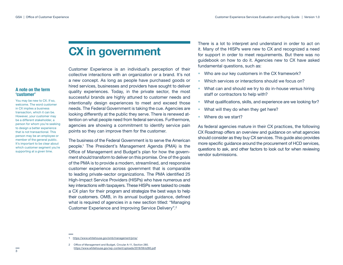## **CX in government**

Customer Experience is an individual's perception of their collective interactions with an organization or a brand. It's not a new concept. As long as people have purchased goods or hired services, businesses and providers have sought to deliver quality experiences. Today, in the private sector, the most successful brands are highly attuned to customer needs and intentionally design experiences to meet and exceed those needs. The Federal Government is taking the cue. Agencies are looking differently at the public they serve. There is renewed attention on what people need from federal services. Furthermore, agencies are showing a commitment to identify service pain points so they can improve them for the customer.

The business of the Federal Government is to serve the American people.<sup>1</sup> The President's Management Agenda (PMA) is the Office of Management and Budget's plan for how the government should transform to deliver on this promise. One of the goals of the PMA is to provide a modern, streamlined, and responsive customer experience across government that is comparable to leading private-sector organizations. The PMA identified 25 High-Impact Service Providers (HISPs) who have numerous and key interactions with taxpayers. These HISPs were tasked to create a CX plan for their program and strategize the best ways to help their customers. OMB, in its annual budget guidance, defined what is required of agencies in a new section titled: "Managing Customer Experience and Improving Service Delivery".<sup>2</sup>

There is a lot to interpret and understand in order to act on it. Many of the HISPs were new to CX and recognized a need for support in order to meet requirements. But there was no guidebook on how to do it. Agencies new to CX have asked fundamental questions, such as:

- Who are our key customers in the CX framework?
- Which services or interactions should we focus on?
- What can and should we try to do in-house versus hiring staff or contractors to help with?
- What qualifications, skills, and experience are we looking for?
- What will they do when they get here?
- Where do we start?

As federal agencies mature in their CX practices, the following CX Roadmap offers an overview and guidance on what agencies should consider as they buy CX services. This guide also provides more specific guidance around the procurement of HCD services, questions to ask, and other factors to look out for when reviewing vendor submissions.

You may be new to CX. If so, welcome. The word customer in CX implies a business transaction, which it can be. However, your customer may be a different stakeholder, a person for whom you're seeking to design a better experience that is not transactional. This person may be an employee or member of the general public. It's important to be clear about which customer segment you're supporting at a given time.

2 Office of Management and Budget, Circular A-11, Section 280. <https://www.whitehouse.gov/wp-content/uploads/2018/06/s280.pdf>

**A note on the term ʻcustomer'**

<sup>1</sup> <https://www.whitehouse.gov/omb/management/pma/>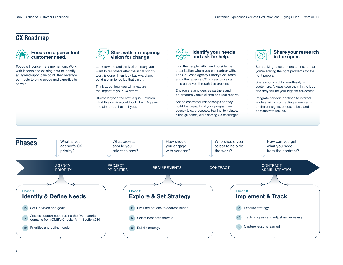## **CX Roadmap**



Focus will concentrate momentum. Work with leaders and existing data to identify an agreed-upon pain point, then leverage contracts to bring speed and expertise to solve it.



Look forward and think of the story you want to tell others after the initial priority work is done. Then look backward and build a plan to realize that vision.

Think about how you will measure the impact of your CX efforts.

Stretch beyond the status quo. Envision what this service could look like in 5 years and aim to do that in 1 year.



Find the people within and outside the organization whom you can partner with. The CX Cross Agency Priority Goal team and other agency CX professionals can help guide you through this process.

Engage stakeholders as partners and co-creators versus clients or direct reports.

Shape contractor relationships so they build the capacity of your program and agency (e.g., processes, training, templates, hiring guidance) while solving CX challenges.



#### **Share your research in the open.**

Start talking to customers to ensure that you're solving the right problems for the right people.

Share your insights relentlessly with customers. Always keep them in the loop and they will be your biggest advocates.

Integrate periodic briefings to internal leaders within contracting agreements to share insights, choose pilots, and demonstrate results.

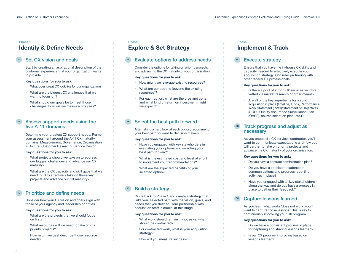### **Identify & Define Needs** Phase 1

## Set CX vision and goals

Start by creating an aspirational description of the customer experience that your organization wants to provide.

#### **Key questions for you to ask:**

- What does great CX look like for our organization?
- What are the biggest CX challenges that we want to focus on?
- What should our goals be to meet those challenges; how will we measure progress?

#### Assess support needs using the five A-11 domains

Determine your greatest CX support needs. Frame your assessment around the A-11 CX maturity domains: Measurement, Governance, Organization & Culture, Customer Research, Service Design.

#### **Key questions for you to ask:**

- What projects should we take on to address our biggest challenges and advance our CX maturity?
- What are the CX capacity and skill gaps that we need to fill to effectively take on those key projects and advance our CX maturity?

### Prioritize and define needs

Consider how your CX vision and goals align with those of your agency and leadership priorities.

#### **Key questions for you to ask:**

- What are the projects that we should focus on first?
- What resources will we need to take on our priority projects?
- How might we best describe those resource needs?

#### Phase 2

## **Explore & Set Strategy**

### Evaluate options to address needs

Consider the options for taking on priority projects and advancing the CX maturity of your organization.

#### **Key questions for you to ask:**

- How might we leverage existing resources?
- What are our options (beyond the existing resources)?
- For each option, what are the pros and cons, and what kind of return on investment might we expect?

### Select the best path forward

After taking a hard look at each option, recommend your best path forward to decision makers.

#### **Key questions for you to ask:**

- Have you engaged with key stakeholders in evaluating your options and selecting your best path forward?
- What is the estimated cost and level of effort to implement your recommendations?
- What are the expected benefits of your selected option?

### <sup>2C</sup> Build a strategy

Circle back to *Phase 1* and create a strategy that links your selected path with the vision, goals, and needs that you defined. Your partnership with acquisition staff is crucial at this stage.

#### **Key questions for you to ask:**

- What work should remain in-house vs. what should be contracted?
- For contracted work, what is your acquisition strategy?
- How will you measure success?

#### **Implement & Track** Phase 3

### **Execute strategy**

Ensure that you have the in-house CX skills and capacity needed to effectively execute your acquisition strategy. Consider partnering with other federal CX professionals.

#### **Key questions for you to ask:**

- Is there a pool of strong CX services vendors, vetted via market research or other means?
- Are all of the key ingredients for a solid acquisition in place (timeline, funds, Performance Work Statement (PWS)/Statement of Objectives (SOO), Quality Assurance Surveillance Plan (QASP), source selection plan, etc.)?

#### Track progress and adjust as necessary

As you onboard a CX services contractor, you'll want to communicate expectations and how you will partner to take on priority projects and advance the CX maturity of your organization.

#### **Key questions for you to ask:**

- Do you have a contract administration plan?
- Do you have a consistent cadence of communications and progress reporting activities in place?
- Have you engaged with all key stakeholders along the way and do you have a process in place to gather their feedback?

### Capture lessons learned

As you learn what works/does not work, you'll want to capture those lessons. This is key to continuously improving your CX program.

#### **Key questions for you to ask:**

- Do we have a consistent process in place for capturing and sharing lessons learned?
- Is our CX program improving based on lessons learned?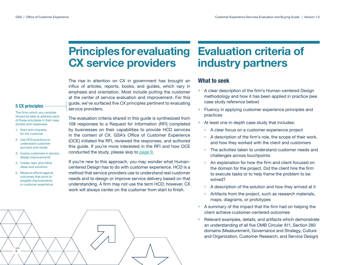## **Principles for evaluating CX service providers**

The rise in attention on CX in government has brought an influx of articles, reports, books, and guides, which vary in emphasis and orientation. Most include putting the customer at the center of service evaluation and improvement. For this guide, we've surfaced five CX principles pertinent to evaluating service providers.

#### **5 CX principles**

The firms which you consider should be able to address each of these principles in their case studies and responses.

- 1. Start with empathy for the customer
- 2. Use HCD practices to understand customer journeys and needs
- 3. Involve customers in service design improvements
- 4. Create, test, and refine ideas and solutions
- 5. Measure efforts against outcomes that point to tangible improvements in customer experience

The evaluation criteria shared in this guide is synthesized from 108 responses to a Request for Information (RFI) completed by businesses on their capabilities to provide HCD services in the context of CX. GSA's Office of Customer Experience (OCE) initiated the RFI, reviewed the responses, and authored this guide. If you're more interested in the RFI and how OCE conducted the study, please skip to [page 9.](#page-8-0)

If you're new to this approach, you may wonder what Humancentered Design has to do with customer experience. HCD is a method that service providers use to understand real customer needs and to design or improve service delivery based on that understanding. A firm may not use the term HCD; however, CX work will always center on the customer from start to finish.



## **Evaluation criteria of industry partners**

## **What to seek**

- � A clear description of the firm's Human-centered Design methodology and how it has been applied in practice (see case study reference below)
- Fluency in applying customer experience principles and practices
- At least one in-depth case study that includes:
	- ° A clear focus on a customer experience project
	- A description of the firm's role, the scope of their work, and how they worked with the client and customers
	- ° The activities taken to understand customer needs and challenges across touchpoints
	- ° An explanation for how the firm and client focused on the domain for the project. Did the client hire the firm to execute tasks or to help frame the problem to be solved?
	- ° A description of the solution and how they arrived at it
	- ° Artifacts from the project, such as research materials, maps, diagrams, or prototypes
- � A summary of the impact that the firm had on helping the client achieve customer-centered outcomes
- � Relevant examples, details, and artifacts which demonstrate an understanding of all five OMB Circular A11, Section 280 domains (Measurement, Governance and Strategy, Culture and Organization, Customer Research, and Service Design)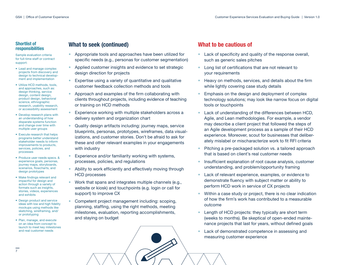#### **Shortlist of responsibilities**

Sample evaluation criteria for full-time staff or contract support:

- � Lead and manage complex projects from discovery and design to technical development and implementation
- � Utilize HCD methods, tools, and approaches, such as: design thinking, service design, content design, product design, behavioral science, ethnographic research, usability research, or accessibility assessment
- � Develop research plans with an understanding of how disparate systems function and change over time with multiple user groups
- � Execute research that helps programs better understand stakeholder needs to inform improvements to products, services, policies, and processes
- � Produce user needs specs. & experience goals, personas, journey maps, storyboards, scenarios, flowcharts, and design prototypes
- � Make findings relevant and impactful for design and action through a variety of formats such as insights, stories, videos, experiences and exhibits
- � Design product and service ideas with low and high fidelity mockups using methods like sketching, wireframing, and/ or prototyping
- � Plan, manage, and execute on an idea from concept to launch to meet key milestones and real customer needs

 $\overline{7}$ 

## **What to seek (continued)**

- � Appropriate tools and approaches have been utilized for specific needs (e.g., personas for customer segmentation)
- � Applied customer insights and evidence to set strategic design direction for projects
- � Expertise using a variety of quantitative and qualitative customer feedback collection methods and tools
- � Approach and examples of the firm collaborating with clients throughout projects, including evidence of teaching or training on HCD methods
- Experience working with multiple stakeholders across a delivery system and organization chart
- � Quality design artifacts including: journey maps, service blueprints, personas, prototypes, wireframes, data visualizations, and customer stories. Don't be afraid to ask for these and other relevant examples in your engagements with industry
- Experience and/or familiarity working with systems, processes, policies, and regulations
- � Ability to work efficiently and effectively moving through HCD processes
- � Work that spans and integrates multiple channels (e.g., website or kiosk) and touchpoints (e.g. login or call for support) to improve CX
- Competent project management including: scoping, planning, staffing, using the right methods, meeting milestones, evaluation, reporting accomplishments, and staying on budget

## **What to be cautious of**

- � Lack of specificity and quality of the response overall, such as generic sales pitches
- Long list of certifications that are not relevant to your requirements
- � Heavy on methods, services, and details about the firm while lightly covering case study details
- Emphasis on the design and deployment of complex technology solutions; may look like narrow focus on digital tools or touchpoints
- Lack of understanding of the differences between HCD, Agile, and Lean methodologies. For example, a vendor may describe a client project that followed the steps of an Agile development process as a sample of their HCD experience. Moreover, scout for businesses that deliberately mislabel or mischaracterize work to fit RFI criteria
- � Pitching a pre-packaged solution vs. a tailored approach that is based on client's real customer needs
- � Insufficient explanation of root cause analysis, customer understanding, and problem/opportunity framing
- Lack of relevant experience, examples, or evidence to demonstrate fluency with subject matter or ability to perform HCD work in service of CX projects
- � Within a case study or project, there is no clear indication of how the firm's work has contributed to a measurable outcome
- Length of HCD projects: they typically are short term (weeks to months). Be skeptical of open-ended maintenance projects that last for years, without defined goals
- Lack of demonstrated competence in assessing and measuring customer experience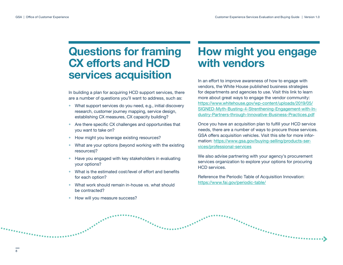## **Questions for framing CX efforts and HCD services acquisition**

In building a plan for acquiring HCD support services, there are a number of questions you'll want to address, such as:

- � What support services do you need, e.g., initial discovery research, customer journey mapping, service design, establishing CX measures, CX capacity building?
- Are there specific CX challenges and opportunities that you want to take on?
- How might you leverage existing resources?
- What are your options (beyond working with the existing resources)?
- � Have you engaged with key stakeholders in evaluating your options?
- � What is the estimated cost/level of effort and benefits for each option?
- � What work should remain in-house vs. what should be contracted?
- How will you measure success?

ERSPERANDERE

## **How might you engage with vendors**

In an effort to improve awareness of how to engage with vendors, the White House published business strategies for departments and agencies to use. Visit this link to learn more about great ways to engage the vendor community: [https://www.whitehouse.gov/wp-content/uploads/2019/05/](https://www.whitehouse.gov/wp-content/uploads/2019/05/SIGNED-Myth-Busting-4-Strenthening-Engagement-with-Industry-Partners-through-Innovative-Business-Practices.pdf) [SIGNED-Myth-Busting-4-Strenthening-Engagement-with-In](https://www.whitehouse.gov/wp-content/uploads/2019/05/SIGNED-Myth-Busting-4-Strenthening-Engagement-with-Industry-Partners-through-Innovative-Business-Practices.pdf)[dustry-Partners-through-Innovative-Business-Practices.pdf](https://www.whitehouse.gov/wp-content/uploads/2019/05/SIGNED-Myth-Busting-4-Strenthening-Engagement-with-Industry-Partners-through-Innovative-Business-Practices.pdf)

Once you have an acquisition plan to fulfill your HCD service needs, there are a number of ways to procure those services. GSA offers acquisition vehicles. Visit this site for more information: [https://www.gsa.gov/buying-selling/products-ser](https://www.gsa.gov/buying-selling/products-services/professional-services)[vices/professional-services](https://www.gsa.gov/buying-selling/products-services/professional-services)

We also advise partnering with your agency's procurement services organization to explore your options for procuring HCD services.

Reference the Periodic Table of Acquisition Innovation: <https://www.fai.gov/periodic-table/>

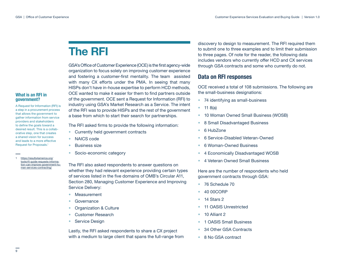## <span id="page-8-0"></span>**The RFI**

GSA's Office of Customer Experience (OCE) is the first agency-wide organization to focus solely on improving customer experience and fostering a customer-first mentality. The team assisted with many CX efforts under the PMA. In seeing that many HISPs don't have in-house expertise to perform HCD methods, OCE wanted to make it easier for them to find partners outside of the government. OCE sent a Request for Information (RFI) to industry using GSA's Market Research as a Service. The intent of the RFI was to provide HISPs and the rest of the government a base from which to start their search for partnerships.

The RFI asked firms to provide the following information:

- Currently held government contracts
- NAICS code
- � Business size
- Socio-economic category

The RFI also asked respondents to answer questions on whether they had relevant experience providing certain types of services listed in the five domains of OMB's Circular A11, Section 280, Managing Customer Experience and Improving Service Delivery:

- � Measurement
- Governance
- � Organization & Culture
- Customer Research
- Service Design

Lastly, the RFI asked respondents to share a CX project with a medium to large client that spans the full-range from discovery to design to measurement. The RFI required them to submit one to three examples and to limit their submission to three pages. Of note for the reader, the following data includes vendors who currently offer HCD and CX services through GSA contracts and some who currently do not.

## **Data on RFI responses**

OCE received a total of 108 submissions. The following are the small-business designations:

- 74 identifying as small-business
- 11 8(a)
- � 10 Woman Owned Small Business (WOSB)
- � 8 Small Disadvantaged Business
- 6 HubZone
- � 6 Service-Disabled Veteran-Owned
- � 6 Woman-Owned Business
- � 4 Economically Disadvantaged WOSB
- � 4 Veteran Owned Small Business

Here are the number of respondents who held government contracts through GSA:

- 76 Schedule 70
- � 40 00CORP
- $\bullet$  14 Stars 2
- 11 OASIS Unrestricted
- � 10 Alliant 2
- � 1 OASIS Small Business
- � 34 Other GSA Contracts
- 8 No GSA contract

#### **What is an RFI in government?**

A Request for Information (RFI) is a step in a procurement process that allows the government to gather information from service providers and stakeholders to define the goals toward a desired result. This is a collaborative step, one that creates a shared vision for success and leads to a more effective Request for Proposals.<sup>1</sup>

[https://results4america.org/](https://results4america.org/tools/rfi-guide-requests-information-can-improve-government-human-servic) [tools/rfi-guide-requests-informa](https://results4america.org/tools/rfi-guide-requests-information-can-improve-government-human-servic)[tion-can-improve-government-hu](https://results4america.org/tools/rfi-guide-requests-information-can-improve-government-human-servic)[man-services-contracting/](https://results4america.org/tools/rfi-guide-requests-information-can-improve-government-human-servic)